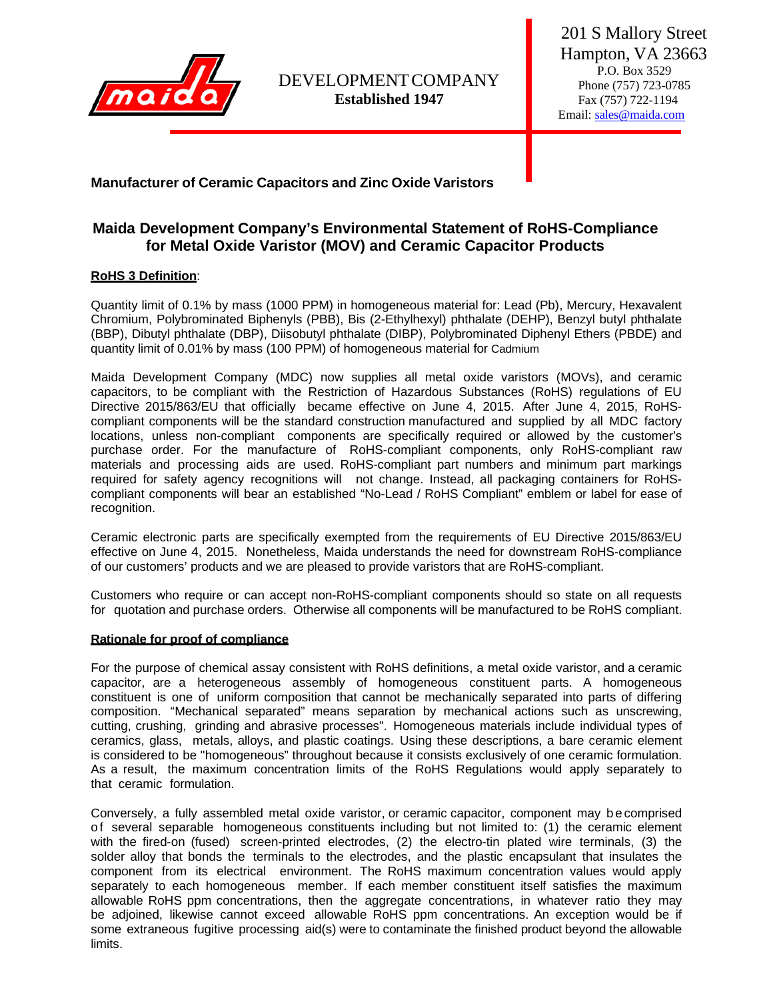

## DEVELOPMENTCOMPANY **Established 1947**

### **Manufacturer of Ceramic Capacitors and Zinc Oxide Varistors**

# **Maida Development Company's Environmental Statement of RoHS-Compliance for Metal Oxide Varistor (MOV) and Ceramic Capacitor Products**

#### **RoHS 3 Definition**:

Quantity limit of 0.1% by mass (1000 PPM) in homogeneous material for: Lead (Pb), Mercury, Hexavalent Chromium, Polybrominated Biphenyls (PBB), Bis (2-Ethylhexyl) phthalate (DEHP), Benzyl butyl phthalate (BBP), Dibutyl phthalate (DBP), Diisobutyl phthalate (DIBP), Polybrominated Diphenyl Ethers (PBDE) and quantity limit of 0.01% by mass (100 PPM) of homogeneous material for Cadmium

Maida Development Company (MDC) now supplies all metal oxide varistors (MOVs), and ceramic capacitors, to be compliant with the Restriction of Hazardous Substances (RoHS) regulations of EU Directive 2015/863/EU that officially became effective on June 4, 2015. After June 4, 2015, RoHScompliant components will be the standard construction manufactured and supplied by all MDC factory locations, unless non-compliant components are specifically required or allowed by the customer's purchase order. For the manufacture of RoHS-compliant components, only RoHS-compliant raw materials and processing aids are used. RoHS-compliant part numbers and minimum part markings required for safety agency recognitions will not change. Instead, all packaging containers for RoHScompliant components will bear an established "No-Lead / RoHS Compliant" emblem or label for ease of recognition.

Ceramic electronic parts are specifically exempted from the requirements of EU Directive 2015/863/EU effective on June 4, 2015. Nonetheless, Maida understands the need for downstream RoHS-compliance of our customers' products and we are pleased to provide varistors that are RoHS-compliant.

Customers who require or can accept non-RoHS-compliant components should so state on all requests for quotation and purchase orders. Otherwise all components will be manufactured to be RoHS compliant.

#### **Rationale for proof of compliance**

For the purpose of chemical assay consistent with RoHS definitions, a metal oxide varistor, and a ceramic capacitor, are a heterogeneous assembly of homogeneous constituent parts. A homogeneous constituent is one of uniform composition that cannot be mechanically separated into parts of differing composition. "Mechanical separated" means separation by mechanical actions such as unscrewing, cutting, crushing, grinding and abrasive processes". Homogeneous materials include individual types of ceramics, glass, metals, alloys, and plastic coatings. Using these descriptions, a bare ceramic element is considered to be "homogeneous" throughout because it consists exclusively of one ceramic formulation. As a result, the maximum concentration limits of the RoHS Regulations would apply separately to that ceramic formulation.

Conversely, a fully assembled metal oxide varistor, or ceramic capacitor, component may b e comprised of several separable homogeneous constituents including but not limited to: (1) the ceramic element with the fired-on (fused) screen-printed electrodes, (2) the electro-tin plated wire terminals, (3) the solder alloy that bonds the terminals to the electrodes, and the plastic encapsulant that insulates the component from its electrical environment. The RoHS maximum concentration values would apply separately to each homogeneous member. If each member constituent itself satisfies the maximum allowable RoHS ppm concentrations, then the aggregate concentrations, in whatever ratio they may be adjoined, likewise cannot exceed allowable RoHS ppm concentrations. An exception would be if some extraneous fugitive processing aid(s) were to contaminate the finished product beyond the allowable limits.